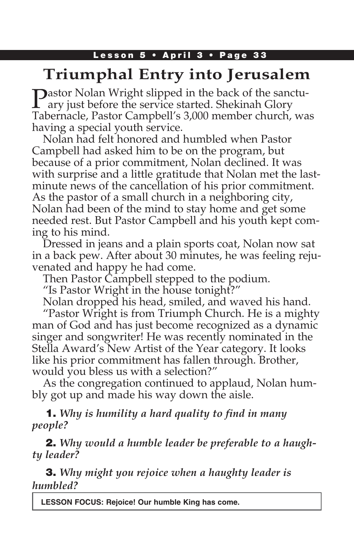## Lesson 5 • April 3 • Page 33

# **Triumphal Entry into Jerusalem**

**Dastor Nolan Wright slipped in the back of the sanctu**ary just before the service started. Shekinah Glory Tabernacle, Pastor Campbell's 3,000 member church, was having a special youth service.

Nolan had felt honored and humbled when Pastor Campbell had asked him to be on the program, but because of a prior commitment, Nolan declined. It was with surprise and a little gratitude that Nolan met the lastminute news of the cancellation of his prior commitment. As the pastor of a small church in a neighboring city, Nolan had been of the mind to stay home and get some needed rest. But Pastor Campbell and his youth kept coming to his mind.

Dressed in jeans and a plain sports coat, Nolan now sat in a back pew. After about 30 minutes, he was feeling rejuvenated and happy he had come.

Then Pastor Campbell stepped to the podium.

"Is Pastor Wright in the house tonight?"

Nolan dropped his head, smiled, and waved his hand.

"Pastor Wright is from Triumph Church. He is a mighty man of God and has just become recognized as a dynamic singer and songwriter! He was recently nominated in the Stella Award's New Artist of the Year category. It looks like his prior commitment has fallen through. Brother, would you bless us with a selection?"

As the congregation continued to applaud, Nolan humbly got up and made his way down the aisle.

1. *Why is humility a hard quality to find in many people?*

2. *Why would a humble leader be preferable to a haughty leader?*

3. *Why might you rejoice when a haughty leader is humbled?*

**LESSON FOCUS: Rejoice! Our humble King has come.**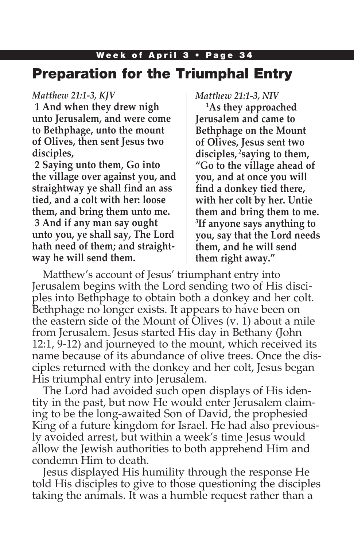## Week of April 3 • Page 34 Preparation for the Triumphal Entry

### *Matthew 21:1-3, KJV*

**1 And when they drew nigh unto Jerusalem, and were come to Bethphage, unto the mount of Olives, then sent Jesus two disciples,**

**2 Saying unto them, Go into the village over against you, and straightway ye shall find an ass tied, and a colt with her: loose them, and bring them unto me. 3 And if any man say ought unto you, ye shall say, The Lord hath need of them; and straightway he will send them.**

#### *Matthew 21:1-3, NIV*

**1 As they approached Jerusalem and came to Bethphage on the Mount of Olives, Jesus sent two disciples, 2saying to them, "Go to the village ahead of you, and at once you will find a donkey tied there, with her colt by her. Untie them and bring them to me. 3 If anyone says anything to you, say that the Lord needs them, and he will send them right away."**

Matthew's account of Jesus' triumphant entry into Jerusalem begins with the Lord sending two of His disciples into Bethphage to obtain both a donkey and her colt. Bethphage no longer exists. It appears to have been on the eastern side of the Mount of Olives (v. 1) about a mile from Jerusalem. Jesus started His day in Bethany (John 12:1, 9-12) and journeyed to the mount, which received its name because of its abundance of olive trees. Once the disciples returned with the donkey and her colt, Jesus began His triumphal entry into Jerusalem.

The Lord had avoided such open displays of His identity in the past, but now He would enter Jerusalem claiming to be the long-awaited Son of David, the prophesied King of a future kingdom for Israel. He had also previously avoided arrest, but within a week's time Jesus would allow the Jewish authorities to both apprehend Him and condemn Him to death.

Jesus displayed His humility through the response He told His disciples to give to those questioning the disciples taking the animals. It was a humble request rather than a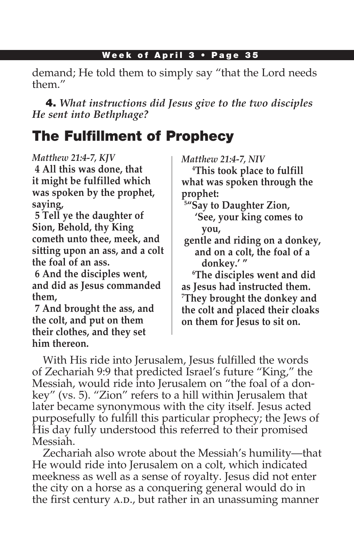demand; He told them to simply say "that the Lord needs them."

4. *What instructions did Jesus give to the two disciples He sent into Bethphage?*

# The Fulfillment of Prophecy

*Matthew 21:4-7, KJV*

**4 All this was done, that it might be fulfilled which was spoken by the prophet, saying,**

**5 Tell ye the daughter of Sion, Behold, thy King cometh unto thee, meek, and sitting upon an ass, and a colt the foal of an ass.**

**6 And the disciples went, and did as Jesus commanded them,**

**7 And brought the ass, and the colt, and put on them their clothes, and they set him thereon.**

*Matthew 21:4-7, NIV*

**4 This took place to fulfill what was spoken through the prophet:**

- **5 "Say to Daughter Zion, 'See, your king comes to you,**
- **gentle and riding on a donkey, and on a colt, the foal of a donkey.' "**

**6 The disciples went and did as Jesus had instructed them. 7 They brought the donkey and the colt and placed their cloaks on them for Jesus to sit on.**

With His ride into Jerusalem, Jesus fulfilled the words of Zechariah 9:9 that predicted Israel's future "King," the Messiah, would ride into Jerusalem on "the foal of a donkey" (vs. 5). "Zion" refers to a hill within Jerusalem that later became synonymous with the city itself. Jesus acted purposefully to fulfill this particular prophecy; the Jews of His day fully understood this referred to their promised Messiah.

Zechariah also wrote about the Messiah's humility—that He would ride into Jerusalem on a colt, which indicated meekness as well as a sense of royalty. Jesus did not enter the city on a horse as a conquering general would do in the first century A.D., but rather in an unassuming manner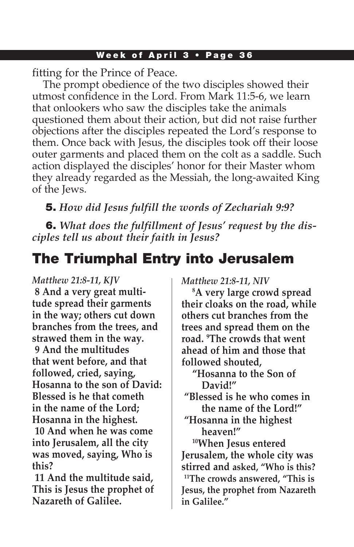fitting for the Prince of Peace.

The prompt obedience of the two disciples showed their utmost confidence in the Lord. From Mark 11:5-6, we learn that onlookers who saw the disciples take the animals questioned them about their action, but did not raise further objections after the disciples repeated the Lord's response to them. Once back with Jesus, the disciples took off their loose outer garments and placed them on the colt as a saddle. Such action displayed the disciples' honor for their Master whom they already regarded as the Messiah, the long-awaited King of the Jews.

## 5. *How did Jesus fulfill the words of Zechariah 9:9?*

6. *What does the fulfillment of Jesus' request by the disciples tell us about their faith in Jesus?*

# The Triumphal Entry into Jerusalem

*Matthew 21:8-11, KJV* **8 And a very great multitude spread their garments in the way; others cut down branches from the trees, and strawed them in the way. 9 And the multitudes that went before, and that followed, cried, saying, Hosanna to the son of David: Blessed is he that cometh in the name of the Lord; Hosanna in the highest. 10 And when he was come into Jerusalem, all the city was moved, saying, Who is this?**

**11 And the multitude said, This is Jesus the prophet of Nazareth of Galilee.**

*Matthew 21:8-11, NIV*

**8 A very large crowd spread their cloaks on the road, while others cut branches from the trees and spread them on the road. 9 The crowds that went ahead of him and those that followed shouted,**

- **"Hosanna to the Son of David!"**
- **"Blessed is he who comes in the name of the Lord!"**
- **"Hosanna in the highest heaven!"**

**10When Jesus entered Jerusalem, the whole city was stirred and asked, "Who is this? 11The crowds answered, "This is Jesus, the prophet from Nazareth in Galilee."**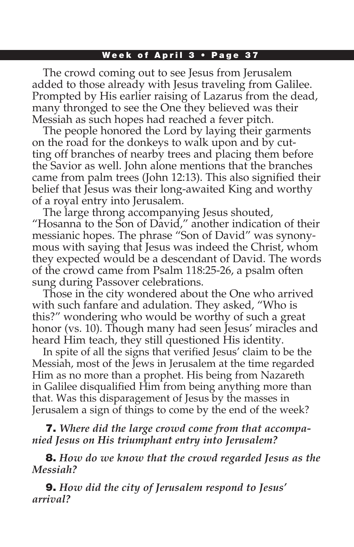The crowd coming out to see Jesus from Jerusalem added to those already with Jesus traveling from Galilee. Prompted by His earlier raising of Lazarus from the dead, many thronged to see the One they believed was their Messiah as such hopes had reached a fever pitch.

The people honored the Lord by laying their garments on the road for the donkeys to walk upon and by cutting off branches of nearby trees and placing them before the Savior as well. John alone mentions that the branches came from palm trees (John 12:13). This also signified their belief that Jesus was their long-awaited King and worthy of a royal entry into Jerusalem.

The large throng accompanying Jesus shouted, "Hosanna to the Son of David," another indication of their messianic hopes. The phrase "Son of David" was synonymous with saying that Jesus was indeed the Christ, whom they expected would be a descendant of David. The words of the crowd came from Psalm 118:25-26, a psalm often sung during Passover celebrations.

Those in the city wondered about the One who arrived with such fanfare and adulation. They asked, "Who is this?" wondering who would be worthy of such a great honor (vs. 10). Though many had seen Jesus' miracles and heard Him teach, they still questioned His identity.

In spite of all the signs that verified Jesus' claim to be the Messiah, most of the Jews in Jerusalem at the time regarded Him as no more than a prophet. His being from Nazareth in Galilee disqualified Him from being anything more than that. Was this disparagement of Jesus by the masses in Jerusalem a sign of things to come by the end of the week?

7. *Where did the large crowd come from that accompanied Jesus on His triumphant entry into Jerusalem?* 

8. *How do we know that the crowd regarded Jesus as the Messiah?*

9. *How did the city of Jerusalem respond to Jesus' arrival?*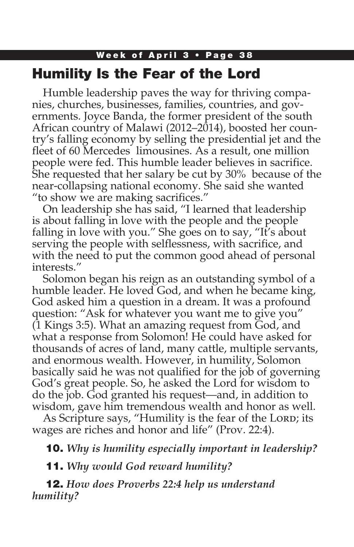## Week of April 3 • Page 38 Humility Is the Fear of the Lord

Humble leadership paves the way for thriving companies, churches, businesses, families, countries, and governments. Joyce Banda, the former president of the south African country of Malawi (2012–2014), boosted her country's falling economy by selling the presidential jet and the fleet of 60 Mercedes limousines. As a result, one million people were fed. This humble leader believes in sacrifice. She requested that her salary be cut by 30% because of the near-collapsing national economy. She said she wanted "to show we are making sacrifices."

On leadership she has said, "I learned that leadership is about falling in love with the people and the people falling in love with you." She goes on to say, "It's about serving the people with selflessness, with sacrifice, and with the need to put the common good ahead of personal interests."

Solomon began his reign as an outstanding symbol of a humble leader. He loved God, and when he became king, God asked him a question in a dream. It was a profound question: "Ask for whatever you want me to give you" (1 Kings 3:5). What an amazing request from God, and what a response from Solomon! He could have asked for thousands of acres of land, many cattle, multiple servants, and enormous wealth. However, in humility, Solomon basically said he was not qualified for the job of governing God's great people. So, he asked the Lord for wisdom to do the job. God granted his request—and, in addition to wisdom, gave him tremendous wealth and honor as well.

As Scripture says, "Humility is the fear of the Lord; its wages are riches and honor and life" (Prov. 22:4).

10. *Why is humility especially important in leadership?*

11. *Why would God reward humility?* 

12. *How does Proverbs 22:4 help us understand humility?*